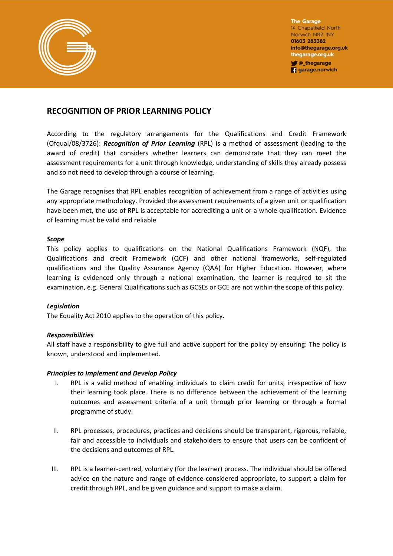

**The Garage** 14 Chapelfield North Norwich NR2 INY 01603 283382 info@thegarage.org.uk thegarage.org.uk Chegarage

**q** garage.norwich

## **RECOGNITION OF PRIOR LEARNING POLICY**

According to the regulatory arrangements for the Qualifications and Credit Framework (Ofqual/08/3726): *Recognition of Prior Learning* (RPL) is a method of assessment (leading to the award of credit) that considers whether learners can demonstrate that they can meet the assessment requirements for a unit through knowledge, understanding of skills they already possess and so not need to develop through a course of learning.

The Garage recognises that RPL enables recognition of achievement from a range of activities using any appropriate methodology. Provided the assessment requirements of a given unit or qualification have been met, the use of RPL is acceptable for accrediting a unit or a whole qualification. Evidence of learning must be valid and reliable

## *Scope*

This policy applies to qualifications on the National Qualifications Framework (NQF), the Qualifications and credit Framework (QCF) and other national frameworks, self-regulated qualifications and the Quality Assurance Agency (QAA) for Higher Education. However, where learning is evidenced only through a national examination, the learner is required to sit the examination, e.g. General Qualifications such as GCSEs or GCE are not within the scope of this policy.

## *Legislation*

The Equality Act 2010 applies to the operation of this policy.

## *Responsibilities*

All staff have a responsibility to give full and active support for the policy by ensuring: The policy is known, understood and implemented.

## *Principles to Implement and Develop Policy*

- I. RPL is a valid method of enabling individuals to claim credit for units, irrespective of how their learning took place. There is no difference between the achievement of the learning outcomes and assessment criteria of a unit through prior learning or through a formal programme of study.
- II. RPL processes, procedures, practices and decisions should be transparent, rigorous, reliable, fair and accessible to individuals and stakeholders to ensure that users can be confident of the decisions and outcomes of RPL.
- III. RPL is a learner-centred, voluntary (for the learner) process. The individual should be offered advice on the nature and range of evidence considered appropriate, to support a claim for credit through RPL, and be given guidance and support to make a claim.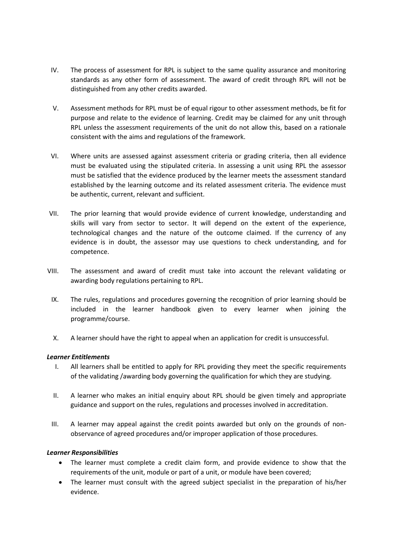- IV. The process of assessment for RPL is subject to the same quality assurance and monitoring standards as any other form of assessment. The award of credit through RPL will not be distinguished from any other credits awarded.
- V. Assessment methods for RPL must be of equal rigour to other assessment methods, be fit for purpose and relate to the evidence of learning. Credit may be claimed for any unit through RPL unless the assessment requirements of the unit do not allow this, based on a rationale consistent with the aims and regulations of the framework.
- VI. Where units are assessed against assessment criteria or grading criteria, then all evidence must be evaluated using the stipulated criteria. In assessing a unit using RPL the assessor must be satisfied that the evidence produced by the learner meets the assessment standard established by the learning outcome and its related assessment criteria. The evidence must be authentic, current, relevant and sufficient.
- VII. The prior learning that would provide evidence of current knowledge, understanding and skills will vary from sector to sector. It will depend on the extent of the experience, technological changes and the nature of the outcome claimed. If the currency of any evidence is in doubt, the assessor may use questions to check understanding, and for competence.
- VIII. The assessment and award of credit must take into account the relevant validating or awarding body regulations pertaining to RPL.
- IX. The rules, regulations and procedures governing the recognition of prior learning should be included in the learner handbook given to every learner when joining the programme/course.
- X. A learner should have the right to appeal when an application for credit is unsuccessful.

## *Learner Entitlements*

- I. All learners shall be entitled to apply for RPL providing they meet the specific requirements of the validating /awarding body governing the qualification for which they are studying.
- II. A learner who makes an initial enquiry about RPL should be given timely and appropriate guidance and support on the rules, regulations and processes involved in accreditation.
- III. A learner may appeal against the credit points awarded but only on the grounds of nonobservance of agreed procedures and/or improper application of those procedures.

## *Learner Responsibilities*

- The learner must complete a credit claim form, and provide evidence to show that the requirements of the unit, module or part of a unit, or module have been covered;
- The learner must consult with the agreed subject specialist in the preparation of his/her evidence.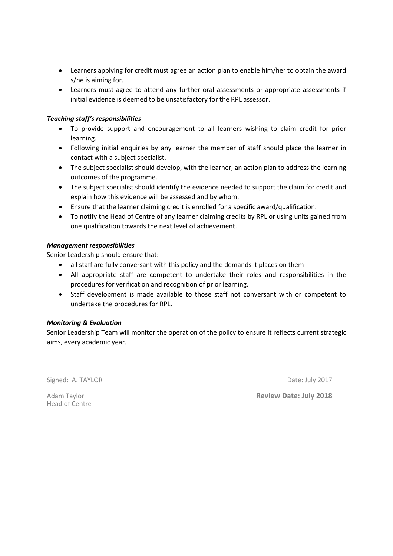- Learners applying for credit must agree an action plan to enable him/her to obtain the award s/he is aiming for.
- Learners must agree to attend any further oral assessments or appropriate assessments if initial evidence is deemed to be unsatisfactory for the RPL assessor.

## *Teaching staff's responsibilities*

- To provide support and encouragement to all learners wishing to claim credit for prior learning.
- Following initial enquiries by any learner the member of staff should place the learner in contact with a subject specialist.
- The subject specialist should develop, with the learner, an action plan to address the learning outcomes of the programme.
- The subject specialist should identify the evidence needed to support the claim for credit and explain how this evidence will be assessed and by whom.
- Ensure that the learner claiming credit is enrolled for a specific award/qualification.
- To notify the Head of Centre of any learner claiming credits by RPL or using units gained from one qualification towards the next level of achievement.

## *Management responsibilities*

Senior Leadership should ensure that:

- all staff are fully conversant with this policy and the demands it places on them
- All appropriate staff are competent to undertake their roles and responsibilities in the procedures for verification and recognition of prior learning.
- Staff development is made available to those staff not conversant with or competent to undertake the procedures for RPL.

## *Monitoring & Evaluation*

Senior Leadership Team will monitor the operation of the policy to ensure it reflects current strategic aims, every academic year.

Signed: A. TAYLOR **Date: July 2017** 

Head of Centre

Adam Taylor **Review Date: July 2018**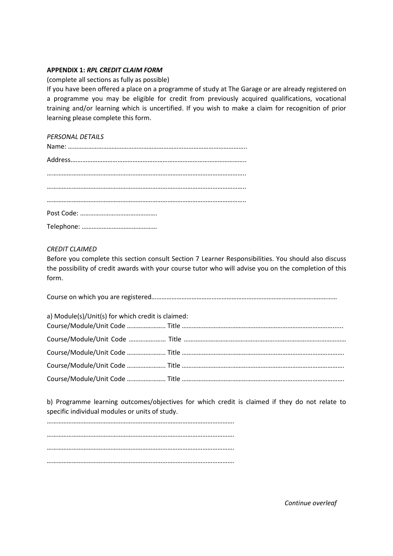## **APPENDIX 1:** *RPL CREDIT CLAIM FORM*

(complete all sections as fully as possible)

If you have been offered a place on a programme of study at The Garage or are already registered on a programme you may be eligible for credit from previously acquired qualifications, vocational training and/or learning which is uncertified. If you wish to make a claim for recognition of prior learning please complete this form.

# *PERSONAL DETAILS*

## *CREDIT CLAIMED*

Before you complete this section consult Section 7 Learner Responsibilities. You should also discuss the possibility of credit awards with your course tutor who will advise you on the completion of this form.

| a) Module(s)/Unit(s) for which credit is claimed: |  |
|---------------------------------------------------|--|
|                                                   |  |
|                                                   |  |
|                                                   |  |
|                                                   |  |
|                                                   |  |

b) Programme learning outcomes/objectives for which credit is claimed if they do not relate to specific individual modules or units of study.

*Continue overleaf*